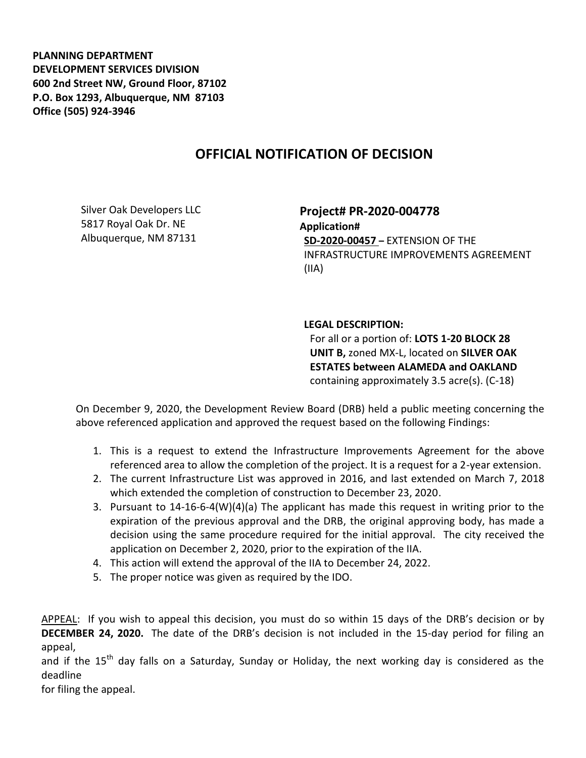**PLANNING DEPARTMENT DEVELOPMENT SERVICES DIVISION 600 2nd Street NW, Ground Floor, 87102 P.O. Box 1293, Albuquerque, NM 87103 Office (505) 924-3946** 

## **OFFICIAL NOTIFICATION OF DECISION**

Silver Oak Developers LLC 5817 Royal Oak Dr. NE Albuquerque, NM 87131

**Project# PR-2020-004778 Application# SD-2020-00457 –** EXTENSION OF THE INFRASTRUCTURE IMPROVEMENTS AGREEMENT (IIA)

## **LEGAL DESCRIPTION:**

For all or a portion of: **LOTS 1-20 BLOCK 28 UNIT B,** zoned MX-L, located on **SILVER OAK ESTATES between ALAMEDA and OAKLAND**  containing approximately 3.5 acre(s). (C-18)

On December 9, 2020, the Development Review Board (DRB) held a public meeting concerning the above referenced application and approved the request based on the following Findings:

- 1. This is a request to extend the Infrastructure Improvements Agreement for the above referenced area to allow the completion of the project. It is a request for a 2-year extension.
- 2. The current Infrastructure List was approved in 2016, and last extended on March 7, 2018 which extended the completion of construction to December 23, 2020.
- 3. Pursuant to 14-16-6-4(W)(4)(a) The applicant has made this request in writing prior to the expiration of the previous approval and the DRB, the original approving body, has made a decision using the same procedure required for the initial approval. The city received the application on December 2, 2020, prior to the expiration of the IIA.
- 4. This action will extend the approval of the IIA to December 24, 2022.
- 5. The proper notice was given as required by the IDO.

APPEAL: If you wish to appeal this decision, you must do so within 15 days of the DRB's decision or by **DECEMBER 24, 2020.** The date of the DRB's decision is not included in the 15-day period for filing an appeal,

and if the  $15<sup>th</sup>$  day falls on a Saturday, Sunday or Holiday, the next working day is considered as the deadline

for filing the appeal.